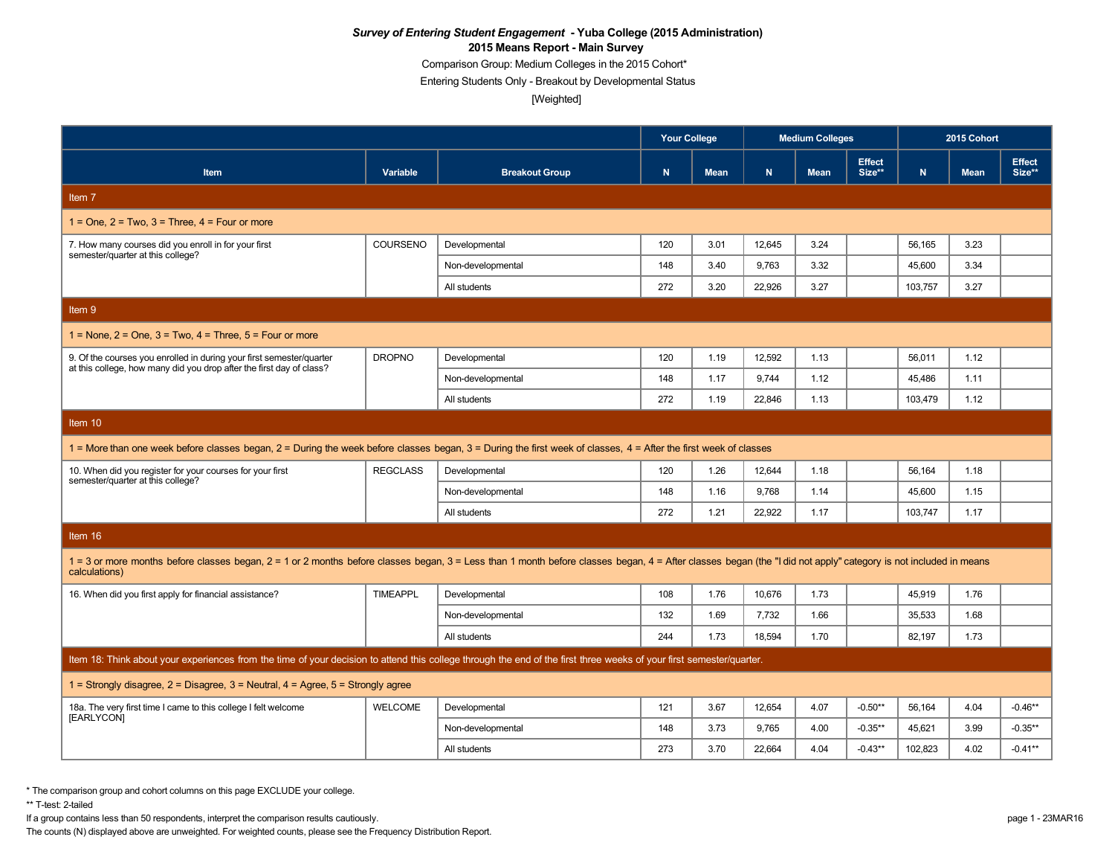Comparison Group: Medium Colleges in the 2015 Cohort\*

Entering Students Only - Breakout by Developmental Status

[Weighted]

|                                                                                                                                                                                                                                  |                 |                       | <b>Your College</b> |             | <b>Medium Colleges</b> |             |                         | 2015 Cohort |             |                         |  |
|----------------------------------------------------------------------------------------------------------------------------------------------------------------------------------------------------------------------------------|-----------------|-----------------------|---------------------|-------------|------------------------|-------------|-------------------------|-------------|-------------|-------------------------|--|
| <b>Item</b>                                                                                                                                                                                                                      | Variable        | <b>Breakout Group</b> | $\mathbf N$         | <b>Mean</b> | N.                     | <b>Mean</b> | <b>Effect</b><br>Size** | N           | <b>Mean</b> | <b>Effect</b><br>Size** |  |
| Item 7                                                                                                                                                                                                                           |                 |                       |                     |             |                        |             |                         |             |             |                         |  |
| $1 =$ One, $2 =$ Two, $3 =$ Three, $4 =$ Four or more                                                                                                                                                                            |                 |                       |                     |             |                        |             |                         |             |             |                         |  |
| 7. How many courses did you enroll in for your first<br>semester/quarter at this college?                                                                                                                                        | COURSENO        | Developmental         | 120                 | 3.01        | 12.645                 | 3.24        |                         | 56.165      | 3.23        |                         |  |
|                                                                                                                                                                                                                                  |                 | Non-developmental     | 148                 | 3.40        | 9.763                  | 3.32        |                         | 45.600      | 3.34        |                         |  |
|                                                                                                                                                                                                                                  |                 | All students          | 272                 | 3.20        | 22,926                 | 3.27        |                         | 103,757     | 3.27        |                         |  |
| Item 9                                                                                                                                                                                                                           |                 |                       |                     |             |                        |             |                         |             |             |                         |  |
| $1 =$ None, $2 =$ One, $3 =$ Two, $4 =$ Three, $5 =$ Four or more                                                                                                                                                                |                 |                       |                     |             |                        |             |                         |             |             |                         |  |
| 9. Of the courses you enrolled in during your first semester/quarter<br>at this college, how many did you drop after the first day of class?                                                                                     | <b>DROPNO</b>   | Developmental         | 120                 | 1.19        | 12,592                 | 1.13        |                         | 56,011      | 1.12        |                         |  |
|                                                                                                                                                                                                                                  |                 | Non-developmental     | 148                 | 1.17        | 9.744                  | 1.12        |                         | 45,486      | 1.11        |                         |  |
|                                                                                                                                                                                                                                  |                 | All students          | 272                 | 1.19        | 22.846                 | 1.13        |                         | 103,479     | 1.12        |                         |  |
| Item 10                                                                                                                                                                                                                          |                 |                       |                     |             |                        |             |                         |             |             |                         |  |
| 1 = More than one week before classes began, 2 = During the week before classes began, 3 = During the first week of classes, 4 = After the first week of classes                                                                 |                 |                       |                     |             |                        |             |                         |             |             |                         |  |
| 10. When did you register for your courses for your first<br>semester/quarter at this college?                                                                                                                                   | <b>REGCLASS</b> | Developmental         | 120                 | 1.26        | 12,644                 | 1.18        |                         | 56,164      | 1.18        |                         |  |
|                                                                                                                                                                                                                                  |                 | Non-developmental     | 148                 | 1.16        | 9,768                  | 1.14        |                         | 45,600      | 1.15        |                         |  |
|                                                                                                                                                                                                                                  |                 | All students          | 272                 | 1.21        | 22,922                 | 1.17        |                         | 103,747     | 1.17        |                         |  |
| Item 16                                                                                                                                                                                                                          |                 |                       |                     |             |                        |             |                         |             |             |                         |  |
| 1 = 3 or more months before classes began, 2 = 1 or 2 months before classes began, 3 = Less than 1 month before classes began, 4 = After classes began (the "I did not apply" category is not included in means<br>calculations) |                 |                       |                     |             |                        |             |                         |             |             |                         |  |
| 16. When did you first apply for financial assistance?                                                                                                                                                                           | <b>TIMEAPPL</b> | Developmental         | 108                 | 1.76        | 10,676                 | 1.73        |                         | 45,919      | 1.76        |                         |  |
|                                                                                                                                                                                                                                  |                 | Non-developmental     | 132                 | 1.69        | 7,732                  | 1.66        |                         | 35,533      | 1.68        |                         |  |
|                                                                                                                                                                                                                                  |                 | All students          | 244                 | 1.73        | 18.594                 | 1.70        |                         | 82.197      | 1.73        |                         |  |
| Item 18: Think about your experiences from the time of your decision to attend this college through the end of the first three weeks of your first semester/quarter.                                                             |                 |                       |                     |             |                        |             |                         |             |             |                         |  |
| 1 = Strongly disagree, $2$ = Disagree, $3$ = Neutral, $4$ = Agree, $5$ = Strongly agree                                                                                                                                          |                 |                       |                     |             |                        |             |                         |             |             |                         |  |
| 18a. The very first time I came to this college I felt welcome<br>[EARLYCON]                                                                                                                                                     | <b>WELCOME</b>  | Developmental         | 121                 | 3.67        | 12,654                 | 4.07        | $-0.50**$               | 56,164      | 4.04        | $-0.46**$               |  |
|                                                                                                                                                                                                                                  |                 | Non-developmental     | 148                 | 3.73        | 9,765                  | 4.00        | $-0.35**$               | 45,621      | 3.99        | $-0.35**$               |  |
|                                                                                                                                                                                                                                  |                 | All students          | 273                 | 3.70        | 22.664                 | 4.04        | $-0.43**$               | 102.823     | 4.02        | $-0.41**$               |  |

\* The comparison group and cohort columns on this page EXCLUDE your college.

\*\* T-test: 2-tailed

If a group contains less than 50 respondents, interpret the comparison results cautiously. page 1 - 23MAR16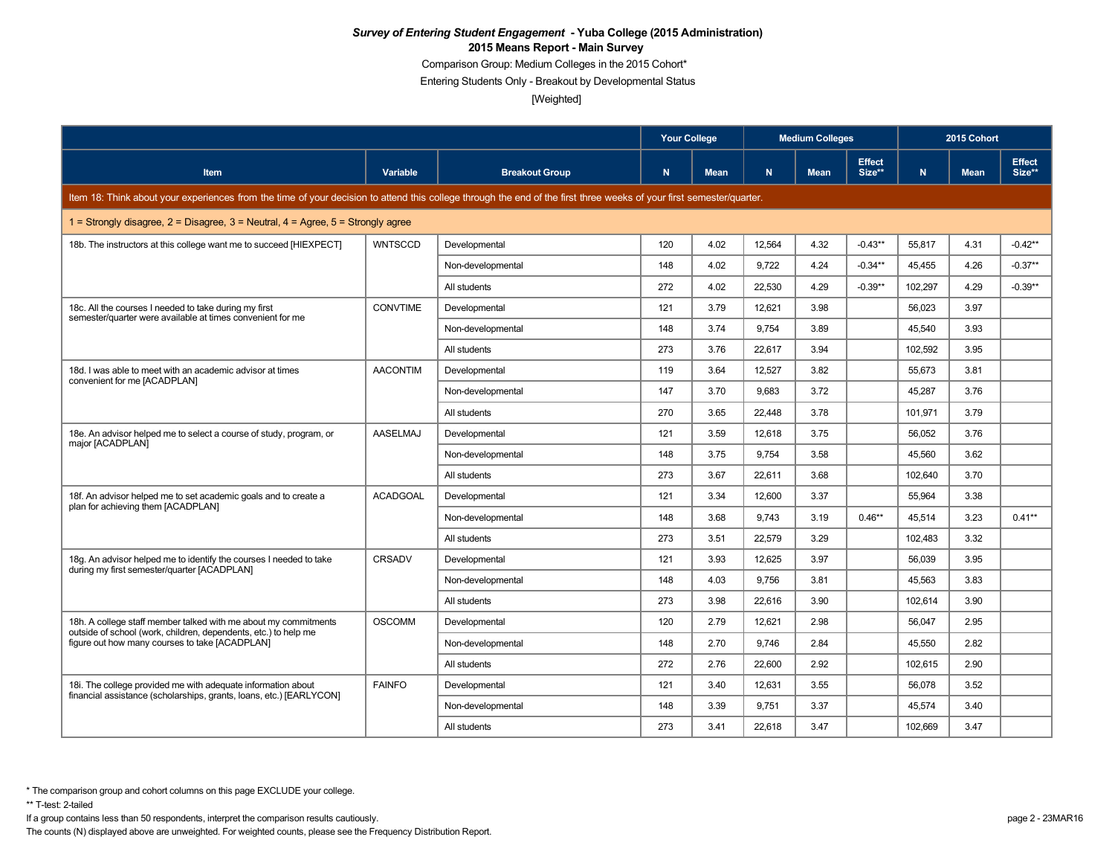Comparison Group: Medium Colleges in the 2015 Cohort\*

Entering Students Only - Breakout by Developmental Status

[Weighted]

|                                                                                                                                                                      |                 |                       | <b>Your College</b> |             | <b>Medium Colleges</b> |             |                         | 2015 Cohort |             |                         |  |
|----------------------------------------------------------------------------------------------------------------------------------------------------------------------|-----------------|-----------------------|---------------------|-------------|------------------------|-------------|-------------------------|-------------|-------------|-------------------------|--|
| <b>Item</b>                                                                                                                                                          | Variable        | <b>Breakout Group</b> | N                   | <b>Mean</b> | N.                     | <b>Mean</b> | <b>Effect</b><br>Size** | N.          | <b>Mean</b> | <b>Effect</b><br>Size** |  |
| Item 18: Think about your experiences from the time of your decision to attend this college through the end of the first three weeks of your first semester/quarter. |                 |                       |                     |             |                        |             |                         |             |             |                         |  |
| 1 = Strongly disagree, $2$ = Disagree, $3$ = Neutral, $4$ = Agree, $5$ = Strongly agree                                                                              |                 |                       |                     |             |                        |             |                         |             |             |                         |  |
| 18b. The instructors at this college want me to succeed [HIEXPECT]                                                                                                   | <b>WNTSCCD</b>  | Developmental         | 120                 | 4.02        | 12.564                 | 4.32        | $-0.43**$               | 55.817      | 4.31        | $-0.42**$               |  |
|                                                                                                                                                                      |                 | Non-developmental     | 148                 | 4.02        | 9.722                  | 4.24        | $-0.34**$               | 45,455      | 4.26        | $-0.37**$               |  |
|                                                                                                                                                                      |                 | All students          | 272                 | 4.02        | 22,530                 | 4.29        | $-0.39**$               | 102,297     | 4.29        | $-0.39**$               |  |
| 18c. All the courses I needed to take during my first                                                                                                                | CONVTIME        | Developmental         | 121                 | 3.79        | 12.621                 | 3.98        |                         | 56,023      | 3.97        |                         |  |
| semester/quarter were available at times convenient for me                                                                                                           |                 | Non-developmental     | 148                 | 3.74        | 9.754                  | 3.89        |                         | 45,540      | 3.93        |                         |  |
|                                                                                                                                                                      |                 | All students          | 273                 | 3.76        | 22.617                 | 3.94        |                         | 102.592     | 3.95        |                         |  |
| 18d. I was able to meet with an academic advisor at times<br>convenient for me [ACADPLAN]                                                                            | <b>AACONTIM</b> | Developmental         | 119                 | 3.64        | 12,527                 | 3.82        |                         | 55.673      | 3.81        |                         |  |
|                                                                                                                                                                      |                 | Non-developmental     | 147                 | 3.70        | 9,683                  | 3.72        |                         | 45,287      | 3.76        |                         |  |
|                                                                                                                                                                      |                 | All students          | 270                 | 3.65        | 22,448                 | 3.78        |                         | 101.971     | 3.79        |                         |  |
| 18e. An advisor helped me to select a course of study, program, or<br>major [ACADPLAN]                                                                               | AASELMAJ        | Developmental         | 121                 | 3.59        | 12,618                 | 3.75        |                         | 56,052      | 3.76        |                         |  |
|                                                                                                                                                                      |                 | Non-developmental     | 148                 | 3.75        | 9,754                  | 3.58        |                         | 45,560      | 3.62        |                         |  |
|                                                                                                                                                                      |                 | All students          | 273                 | 3.67        | 22.611                 | 3.68        |                         | 102,640     | 3.70        |                         |  |
| 18f. An advisor helped me to set academic goals and to create a                                                                                                      | <b>ACADGOAL</b> | Developmental         | 121                 | 3.34        | 12.600                 | 3.37        |                         | 55.964      | 3.38        |                         |  |
| plan for achieving them [ACADPLAN]                                                                                                                                   |                 | Non-developmental     | 148                 | 3.68        | 9.743                  | 3.19        | $0.46**$                | 45,514      | 3.23        | $0.41**$                |  |
|                                                                                                                                                                      |                 | All students          | 273                 | 3.51        | 22,579                 | 3.29        |                         | 102,483     | 3.32        |                         |  |
| 18g. An advisor helped me to identify the courses I needed to take                                                                                                   | CRSADV          | Developmental         | 121                 | 3.93        | 12,625                 | 3.97        |                         | 56,039      | 3.95        |                         |  |
| during my first semester/quarter [ACADPLAN]                                                                                                                          |                 | Non-developmental     | 148                 | 4.03        | 9.756                  | 3.81        |                         | 45.563      | 3.83        |                         |  |
|                                                                                                                                                                      |                 | All students          | 273                 | 3.98        | 22,616                 | 3.90        |                         | 102,614     | 3.90        |                         |  |
| 18h. A college staff member talked with me about my commitments                                                                                                      | <b>OSCOMM</b>   | Developmental         | 120                 | 2.79        | 12,621                 | 2.98        |                         | 56,047      | 2.95        |                         |  |
| outside of school (work, children, dependents, etc.) to help me<br>figure out how many courses to take [ACADPLAN]                                                    |                 | Non-developmental     | 148                 | 2.70        | 9.746                  | 2.84        |                         | 45.550      | 2.82        |                         |  |
|                                                                                                                                                                      |                 | All students          | 272                 | 2.76        | 22.600                 | 2.92        |                         | 102.615     | 2.90        |                         |  |
| 18i. The college provided me with adequate information about                                                                                                         | <b>FAINFO</b>   | Developmental         | 121                 | 3.40        | 12,631                 | 3.55        |                         | 56,078      | 3.52        |                         |  |
| financial assistance (scholarships, grants, loans, etc.) [EARLYCON]                                                                                                  |                 | Non-developmental     | 148                 | 3.39        | 9.751                  | 3.37        |                         | 45,574      | 3.40        |                         |  |
|                                                                                                                                                                      |                 | All students          | 273                 | 3.41        | 22,618                 | 3.47        |                         | 102,669     | 3.47        |                         |  |

\*\* T-test: 2-tailed

If a group contains less than 50 respondents, interpret the comparison results cautiously. page 2 - 23MAR16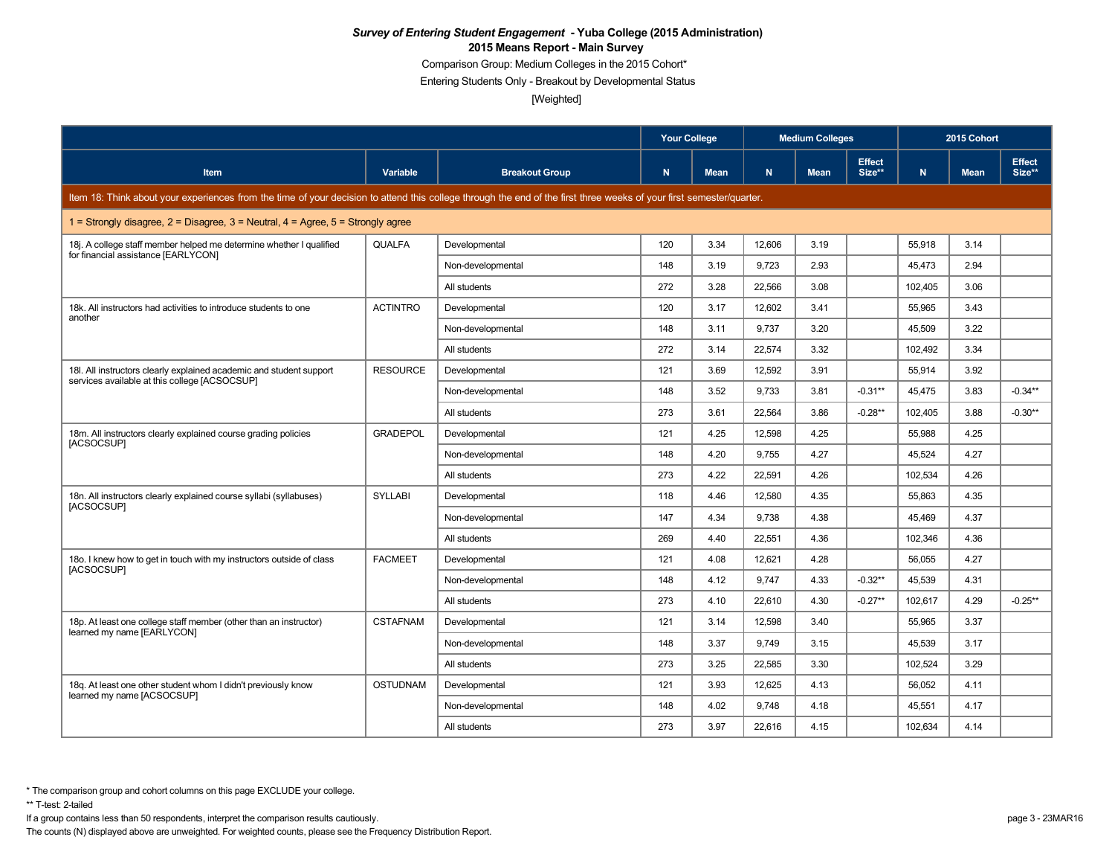Comparison Group: Medium Colleges in the 2015 Cohort\*

Entering Students Only - Breakout by Developmental Status

[Weighted]

|                                                                                                                                                                      |                 |                       | <b>Your College</b> |             | <b>Medium Colleges</b> |             |                         | 2015 Cohort |             |                         |
|----------------------------------------------------------------------------------------------------------------------------------------------------------------------|-----------------|-----------------------|---------------------|-------------|------------------------|-------------|-------------------------|-------------|-------------|-------------------------|
| <b>Item</b>                                                                                                                                                          | Variable        | <b>Breakout Group</b> | N                   | <b>Mean</b> | N                      | <b>Mean</b> | <b>Effect</b><br>Size** | N.          | <b>Mean</b> | <b>Effect</b><br>Size** |
| Item 18: Think about your experiences from the time of your decision to attend this college through the end of the first three weeks of your first semester/quarter. |                 |                       |                     |             |                        |             |                         |             |             |                         |
| 1 = Strongly disagree, $2$ = Disagree, $3$ = Neutral, $4$ = Agree, $5$ = Strongly agree                                                                              |                 |                       |                     |             |                        |             |                         |             |             |                         |
| 18. A college staff member helped me determine whether I qualified<br>for financial assistance [EARLYCON]                                                            | <b>QUALFA</b>   | Developmental         | 120                 | 3.34        | 12.606                 | 3.19        |                         | 55,918      | 3.14        |                         |
|                                                                                                                                                                      |                 | Non-developmental     | 148                 | 3.19        | 9,723                  | 2.93        |                         | 45,473      | 2.94        |                         |
|                                                                                                                                                                      |                 | All students          | 272                 | 3.28        | 22,566                 | 3.08        |                         | 102,405     | 3.06        |                         |
| 18k. All instructors had activities to introduce students to one                                                                                                     | <b>ACTINTRO</b> | Developmental         | 120                 | 3.17        | 12.602                 | 3.41        |                         | 55,965      | 3.43        |                         |
| another                                                                                                                                                              |                 | Non-developmental     | 148                 | 3.11        | 9,737                  | 3.20        |                         | 45,509      | 3.22        |                         |
|                                                                                                                                                                      |                 | All students          | 272                 | 3.14        | 22.574                 | 3.32        |                         | 102.492     | 3.34        |                         |
| 18I. All instructors clearly explained academic and student support                                                                                                  | <b>RESOURCE</b> | Developmental         | 121                 | 3.69        | 12.592                 | 3.91        |                         | 55,914      | 3.92        |                         |
| services available at this college [ACSOCSUP]                                                                                                                        |                 | Non-developmental     | 148                 | 3.52        | 9,733                  | 3.81        | $-0.31**$               | 45,475      | 3.83        | $-0.34**$               |
|                                                                                                                                                                      |                 | All students          | 273                 | 3.61        | 22.564                 | 3.86        | $-0.28**$               | 102.405     | 3.88        | $-0.30**$               |
| 18m. All instructors clearly explained course grading policies                                                                                                       | <b>GRADEPOL</b> | Developmental         | 121                 | 4.25        | 12,598                 | 4.25        |                         | 55,988      | 4.25        |                         |
| [ACSOCSUP]                                                                                                                                                           |                 | Non-developmental     | 148                 | 4.20        | 9,755                  | 4.27        |                         | 45,524      | 4.27        |                         |
|                                                                                                                                                                      |                 | All students          | 273                 | 4.22        | 22.591                 | 4.26        |                         | 102,534     | 4.26        |                         |
| 18n. All instructors clearly explained course syllabi (syllabuses)                                                                                                   | <b>SYLLABI</b>  | Developmental         | 118                 | 4.46        | 12.580                 | 4.35        |                         | 55.863      | 4.35        |                         |
| [ACSOCSUP]                                                                                                                                                           |                 | Non-developmental     | 147                 | 4.34        | 9,738                  | 4.38        |                         | 45,469      | 4.37        |                         |
|                                                                                                                                                                      |                 | All students          | 269                 | 4.40        | 22,551                 | 4.36        |                         | 102,346     | 4.36        |                         |
| 18o. I knew how to get in touch with my instructors outside of class                                                                                                 | <b>FACMEET</b>  | Developmental         | 121                 | 4.08        | 12,621                 | 4.28        |                         | 56,055      | 4.27        |                         |
| [ACSOCSUP]                                                                                                                                                           |                 | Non-developmental     | 148                 | 4.12        | 9.747                  | 4.33        | $-0.32**$               | 45.539      | 4.31        |                         |
|                                                                                                                                                                      |                 | All students          | 273                 | 4.10        | 22.610                 | 4.30        | $-0.27**$               | 102,617     | 4.29        | $-0.25**$               |
| 18p. At least one college staff member (other than an instructor)                                                                                                    | <b>CSTAFNAM</b> | Developmental         | 121                 | 3.14        | 12,598                 | 3.40        |                         | 55,965      | 3.37        |                         |
| learned my name [EARLYCON]                                                                                                                                           |                 | Non-developmental     | 148                 | 3.37        | 9.749                  | 3.15        |                         | 45.539      | 3.17        |                         |
|                                                                                                                                                                      |                 | All students          | 273                 | 3.25        | 22.585                 | 3.30        |                         | 102,524     | 3.29        |                         |
| 18q. At least one other student whom I didn't previously know                                                                                                        | <b>OSTUDNAM</b> | Developmental         | 121                 | 3.93        | 12,625                 | 4.13        |                         | 56,052      | 4.11        |                         |
| learned my name [ACSOCSUP]                                                                                                                                           |                 | Non-developmental     | 148                 | 4.02        | 9.748                  | 4.18        |                         | 45,551      | 4.17        |                         |
|                                                                                                                                                                      |                 | All students          | 273                 | 3.97        | 22,616                 | 4.15        |                         | 102,634     | 4.14        |                         |

\*\* T-test: 2-tailed

If a group contains less than 50 respondents, interpret the comparison results cautiously. page 3 - 23MAR16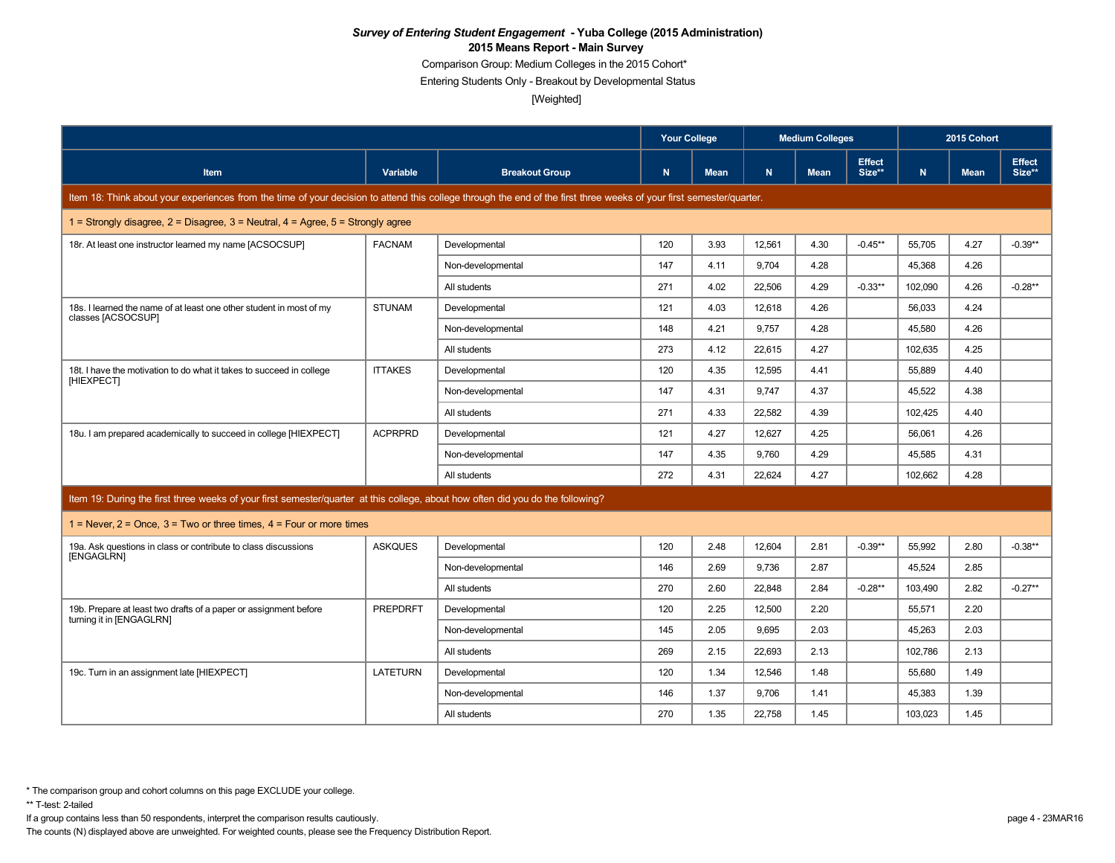Comparison Group: Medium Colleges in the 2015 Cohort\*

Entering Students Only - Breakout by Developmental Status

[Weighted]

|                                                                                                                                                                      |                 |                       | <b>Your College</b> |             |        | <b>Medium Colleges</b> |                         |         | 2015 Cohort |                         |
|----------------------------------------------------------------------------------------------------------------------------------------------------------------------|-----------------|-----------------------|---------------------|-------------|--------|------------------------|-------------------------|---------|-------------|-------------------------|
| <b>Item</b>                                                                                                                                                          | Variable        | <b>Breakout Group</b> | N                   | <b>Mean</b> | N.     | <b>Mean</b>            | <b>Effect</b><br>Size** | N       | <b>Mean</b> | <b>Effect</b><br>Size** |
| Item 18: Think about your experiences from the time of your decision to attend this college through the end of the first three weeks of your first semester/quarter. |                 |                       |                     |             |        |                        |                         |         |             |                         |
| 1 = Strongly disagree, $2$ = Disagree, $3$ = Neutral, $4$ = Agree, $5$ = Strongly agree                                                                              |                 |                       |                     |             |        |                        |                         |         |             |                         |
| 18r. At least one instructor learned my name [ACSOCSUP]                                                                                                              | <b>FACNAM</b>   | Developmental         | 120                 | 3.93        | 12,561 | 4.30                   | $-0.45**$               | 55,705  | 4.27        | $-0.39**$               |
|                                                                                                                                                                      |                 | Non-developmental     | 147                 | 4.11        | 9.704  | 4.28                   |                         | 45,368  | 4.26        |                         |
|                                                                                                                                                                      |                 | All students          | 271                 | 4.02        | 22.506 | 4.29                   | $-0.33**$               | 102.090 | 4.26        | $-0.28**$               |
| 18s. I learned the name of at least one other student in most of my<br>classes [ACSOCSUP]                                                                            | <b>STUNAM</b>   | Developmental         | 121                 | 4.03        | 12,618 | 4.26                   |                         | 56,033  | 4.24        |                         |
|                                                                                                                                                                      |                 | Non-developmental     | 148                 | 4.21        | 9,757  | 4.28                   |                         | 45,580  | 4.26        |                         |
|                                                                                                                                                                      |                 | All students          | 273                 | 4.12        | 22,615 | 4.27                   |                         | 102,635 | 4.25        |                         |
| 18t. I have the motivation to do what it takes to succeed in college                                                                                                 | <b>ITTAKES</b>  | Developmental         | 120                 | 4.35        | 12.595 | 4.41                   |                         | 55.889  | 4.40        |                         |
| [HIEXPECT]                                                                                                                                                           |                 | Non-developmental     | 147                 | 4.31        | 9.747  | 4.37                   |                         | 45,522  | 4.38        |                         |
|                                                                                                                                                                      |                 | All students          | 271                 | 4.33        | 22,582 | 4.39                   |                         | 102,425 | 4.40        |                         |
| 18u. I am prepared academically to succeed in college [HIEXPECT]                                                                                                     | <b>ACPRPRD</b>  | Developmental         | 121                 | 4.27        | 12,627 | 4.25                   |                         | 56,061  | 4.26        |                         |
|                                                                                                                                                                      |                 | Non-developmental     | 147                 | 4.35        | 9.760  | 4.29                   |                         | 45,585  | 4.31        |                         |
|                                                                                                                                                                      |                 | All students          | 272                 | 4.31        | 22,624 | 4.27                   |                         | 102,662 | 4.28        |                         |
| Item 19: During the first three weeks of your first semester/quarter at this college, about how often did you do the following?                                      |                 |                       |                     |             |        |                        |                         |         |             |                         |
| 1 = Never, $2$ = Once, $3$ = Two or three times, $4$ = Four or more times                                                                                            |                 |                       |                     |             |        |                        |                         |         |             |                         |
| 19a. Ask questions in class or contribute to class discussions                                                                                                       | <b>ASKQUES</b>  | Developmental         | 120                 | 2.48        | 12,604 | 2.81                   | $-0.39**$               | 55,992  | 2.80        | $-0.38**$               |
| [ENGAGLRN]                                                                                                                                                           |                 | Non-developmental     | 146                 | 2.69        | 9,736  | 2.87                   |                         | 45,524  | 2.85        |                         |
|                                                                                                                                                                      |                 | All students          | 270                 | 2.60        | 22,848 | 2.84                   | $-0.28**$               | 103,490 | 2.82        | $-0.27**$               |
| 19b. Prepare at least two drafts of a paper or assignment before                                                                                                     | <b>PREPDRFT</b> | Developmental         | 120                 | 2.25        | 12,500 | 2.20                   |                         | 55,571  | 2.20        |                         |
| turning it in [ENGAGLRN]                                                                                                                                             |                 | Non-developmental     | 145                 | 2.05        | 9,695  | 2.03                   |                         | 45,263  | 2.03        |                         |
|                                                                                                                                                                      |                 | All students          | 269                 | 2.15        | 22,693 | 2.13                   |                         | 102,786 | 2.13        |                         |
| 19c. Turn in an assignment late [HIEXPECT]                                                                                                                           | LATETURN        | Developmental         | 120                 | 1.34        | 12,546 | 1.48                   |                         | 55,680  | 1.49        |                         |
|                                                                                                                                                                      |                 | Non-developmental     | 146                 | 1.37        | 9.706  | 1.41                   |                         | 45,383  | 1.39        |                         |
|                                                                                                                                                                      |                 | All students          | 270                 | 1.35        | 22,758 | 1.45                   |                         | 103,023 | 1.45        |                         |

If a group contains less than 50 respondents, interpret the comparison results cautiously. page 4 - 23MAR16

The counts (N) displayed above are unweighted. For weighted counts, please see the Frequency Distribution Report.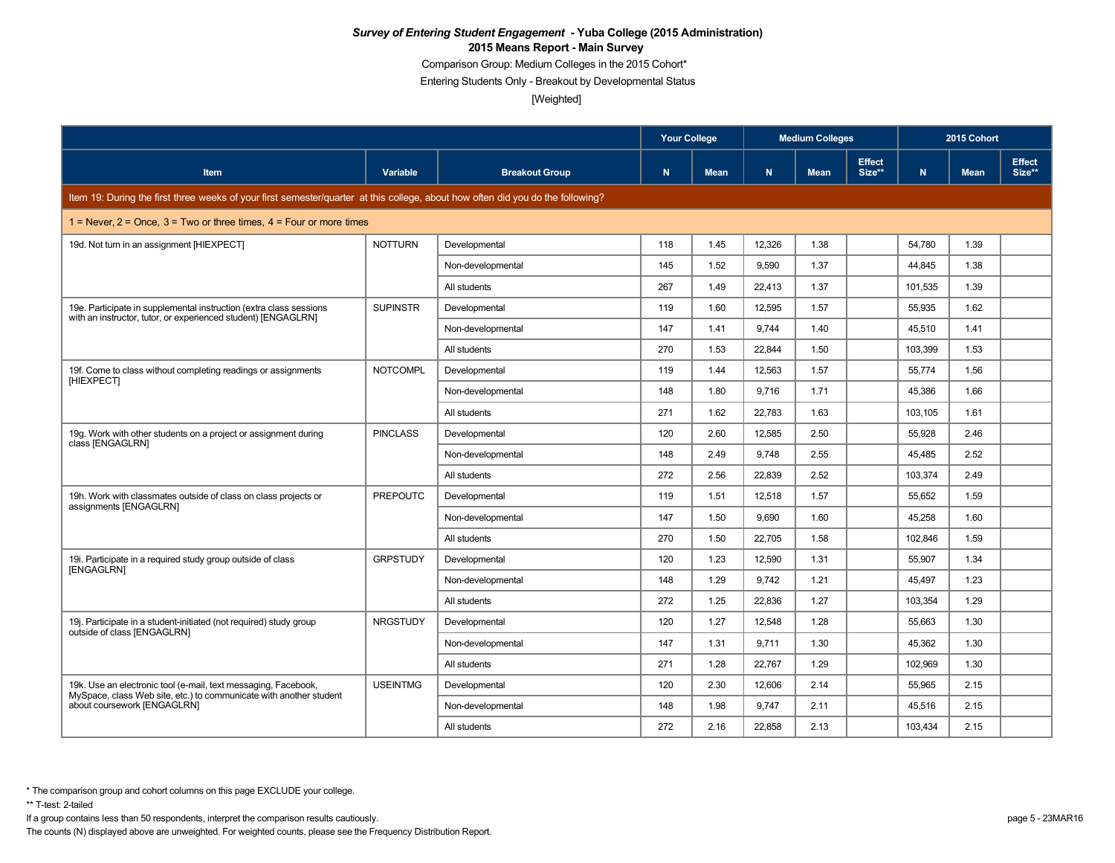Comparison Group: Medium Colleges in the 2015 Cohort\*

Entering Students Only - Breakout by Developmental Status

[Weighted]

|                                                                                                                                 |                 |                       | <b>Your College</b> |             | <b>Medium Colleges</b> |             |                         | 2015 Cohort |             |                         |
|---------------------------------------------------------------------------------------------------------------------------------|-----------------|-----------------------|---------------------|-------------|------------------------|-------------|-------------------------|-------------|-------------|-------------------------|
| <b>Item</b>                                                                                                                     | Variable        | <b>Breakout Group</b> | N                   | <b>Mean</b> | N                      | <b>Mean</b> | <b>Effect</b><br>Size** | N.          | <b>Mean</b> | <b>Effect</b><br>Size** |
| Item 19: During the first three weeks of your first semester/quarter at this college, about how often did you do the following? |                 |                       |                     |             |                        |             |                         |             |             |                         |
| 1 = Never, $2$ = Once, $3$ = Two or three times, $4$ = Four or more times                                                       |                 |                       |                     |             |                        |             |                         |             |             |                         |
| 19d. Not turn in an assignment [HIEXPECT]                                                                                       | <b>NOTTURN</b>  | Developmental         | 118                 | 1.45        | 12,326                 | 1.38        |                         | 54,780      | 1.39        |                         |
|                                                                                                                                 |                 | Non-developmental     | 145                 | 1.52        | 9.590                  | 1.37        |                         | 44,845      | 1.38        |                         |
|                                                                                                                                 |                 | All students          | 267                 | 1.49        | 22,413                 | 1.37        |                         | 101,535     | 1.39        |                         |
| 19e. Participate in supplemental instruction (extra class sessions                                                              | <b>SUPINSTR</b> | Developmental         | 119                 | 1.60        | 12,595                 | 1.57        |                         | 55,935      | 1.62        |                         |
| with an instructor, tutor, or experienced student) [ENGAGLRN]                                                                   |                 | Non-developmental     | 147                 | 1.41        | 9,744                  | 1.40        |                         | 45,510      | 1.41        |                         |
|                                                                                                                                 |                 | All students          | 270                 | 1.53        | 22.844                 | 1.50        |                         | 103.399     | 1.53        |                         |
| 19f. Come to class without completing readings or assignments                                                                   | <b>NOTCOMPL</b> | Developmental         | 119                 | 1.44        | 12,563                 | 1.57        |                         | 55,774      | 1.56        |                         |
| [HIEXPECT]                                                                                                                      |                 | Non-developmental     | 148                 | 1.80        | 9.716                  | 1.71        |                         | 45,386      | 1.66        |                         |
|                                                                                                                                 |                 | All students          | 271                 | 1.62        | 22,783                 | 1.63        |                         | 103,105     | 1.61        |                         |
| 19g. Work with other students on a project or assignment during                                                                 | <b>PINCLASS</b> | Developmental         | 120                 | 2.60        | 12.585                 | 2.50        |                         | 55.928      | 2.46        |                         |
| class [ENGAGLRN]                                                                                                                |                 | Non-developmental     | 148                 | 2.49        | 9,748                  | 2.55        |                         | 45,485      | 2.52        |                         |
|                                                                                                                                 |                 | All students          | 272                 | 2.56        | 22,839                 | 2.52        |                         | 103,374     | 2.49        |                         |
| 19h. Work with classmates outside of class on class projects or                                                                 | <b>PREPOUTC</b> | Developmental         | 119                 | 1.51        | 12.518                 | 1.57        |                         | 55.652      | 1.59        |                         |
| assignments [ENGAGLRN]                                                                                                          |                 | Non-developmental     | 147                 | 1.50        | 9,690                  | 1.60        |                         | 45,258      | 1.60        |                         |
|                                                                                                                                 |                 | All students          | 270                 | 1.50        | 22,705                 | 1.58        |                         | 102,846     | 1.59        |                         |
| 19i. Participate in a required study group outside of class                                                                     | <b>GRPSTUDY</b> | Developmental         | 120                 | 1.23        | 12,590                 | 1.31        |                         | 55,907      | 1.34        |                         |
| [ENGAGLRN]                                                                                                                      |                 | Non-developmental     | 148                 | 1.29        | 9.742                  | 1.21        |                         | 45.497      | 1.23        |                         |
|                                                                                                                                 |                 | All students          | 272                 | 1.25        | 22,836                 | 1.27        |                         | 103,354     | 1.29        |                         |
| 19. Participate in a student-initiated (not required) study group                                                               | <b>NRGSTUDY</b> | Developmental         | 120                 | 1.27        | 12,548                 | 1.28        |                         | 55,663      | 1.30        |                         |
| outside of class [ENGAGLRN]                                                                                                     |                 | Non-developmental     | 147                 | 1.31        | 9,711                  | 1.30        |                         | 45,362      | 1.30        |                         |
|                                                                                                                                 |                 | All students          | 271                 | 1.28        | 22.767                 | 1.29        |                         | 102.969     | 1.30        |                         |
| 19k. Use an electronic tool (e-mail, text messaging, Facebook,                                                                  | <b>USEINTMG</b> | Developmental         | 120                 | 2.30        | 12,606                 | 2.14        |                         | 55,965      | 2.15        |                         |
| MySpace, class Web site, etc.) to communicate with another student<br>about coursework [ENGAGLRN]                               |                 | Non-developmental     | 148                 | 1.98        | 9.747                  | 2.11        |                         | 45,516      | 2.15        |                         |
|                                                                                                                                 |                 | All students          | 272                 | 2.16        | 22,858                 | 2.13        |                         | 103,434     | 2.15        |                         |

\*\* T-test: 2-tailed

If a group contains less than 50 respondents, interpret the comparison results cautiously. page 5 - 23MAR16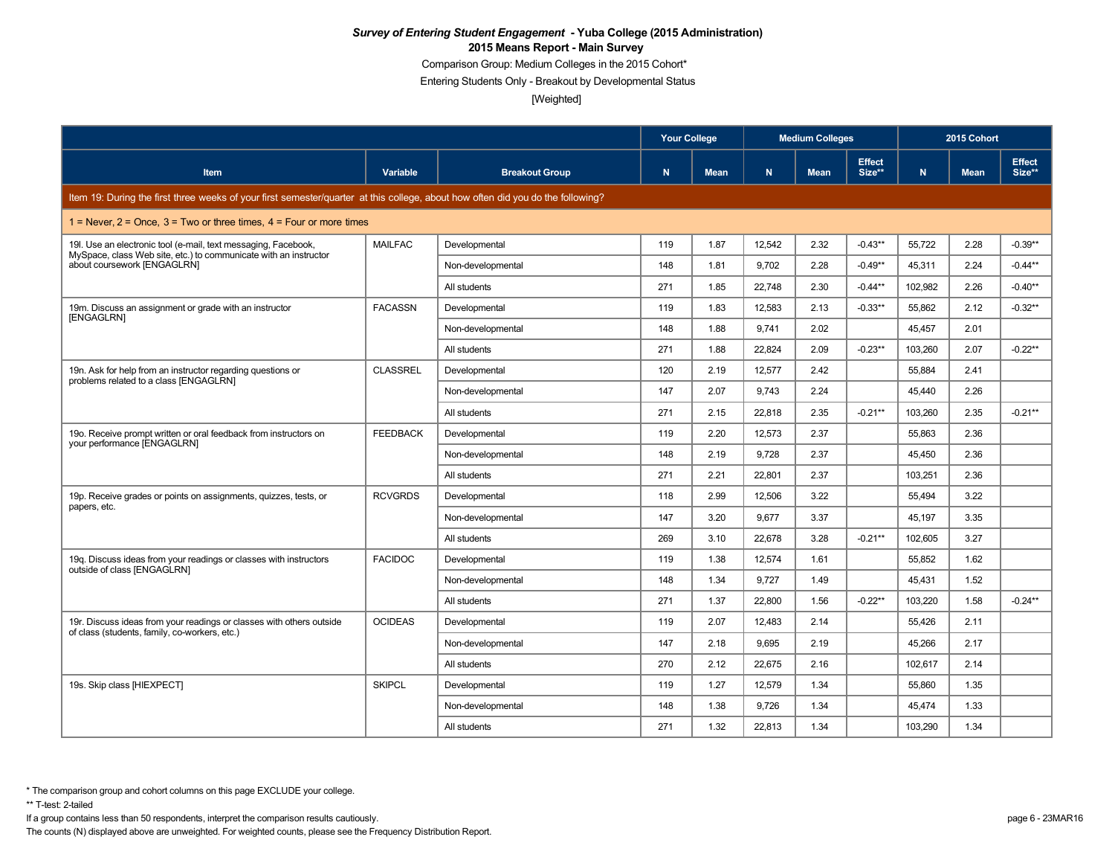Comparison Group: Medium Colleges in the 2015 Cohort\*

Entering Students Only - Breakout by Developmental Status

[Weighted]

|                                                                                                                                 |                 |                       | <b>Your College</b> |             | <b>Medium Colleges</b> |             |                         | 2015 Cohort |             |                         |  |
|---------------------------------------------------------------------------------------------------------------------------------|-----------------|-----------------------|---------------------|-------------|------------------------|-------------|-------------------------|-------------|-------------|-------------------------|--|
| <b>Item</b>                                                                                                                     | Variable        | <b>Breakout Group</b> | $\mathbf N$         | <b>Mean</b> | N.                     | <b>Mean</b> | <b>Effect</b><br>Size** | N.          | <b>Mean</b> | <b>Effect</b><br>Size** |  |
| Item 19: During the first three weeks of your first semester/quarter at this college, about how often did you do the following? |                 |                       |                     |             |                        |             |                         |             |             |                         |  |
| $1 =$ Never, $2 =$ Once, $3 =$ Two or three times, $4 =$ Four or more times                                                     |                 |                       |                     |             |                        |             |                         |             |             |                         |  |
| 19. Use an electronic tool (e-mail, text messaging, Facebook,                                                                   | <b>MAILFAC</b>  | Developmental         | 119                 | 1.87        | 12,542                 | 2.32        | $-0.43**$               | 55,722      | 2.28        | $-0.39**$               |  |
| MySpace, class Web site, etc.) to communicate with an instructor<br>about coursework [ENGAGLRN]                                 |                 | Non-developmental     | 148                 | 1.81        | 9.702                  | 2.28        | $-0.49**$               | 45,311      | 2.24        | $-0.44**$               |  |
|                                                                                                                                 |                 | All students          | 271                 | 1.85        | 22,748                 | 2.30        | $-0.44**$               | 102,982     | 2.26        | $-0.40**$               |  |
| 19m. Discuss an assignment or grade with an instructor                                                                          | <b>FACASSN</b>  | Developmental         | 119                 | 1.83        | 12,583                 | 2.13        | $-0.33**$               | 55,862      | 2.12        | $-0.32**$               |  |
| [ENGAGLRN]                                                                                                                      |                 | Non-developmental     | 148                 | 1.88        | 9,741                  | 2.02        |                         | 45,457      | 2.01        |                         |  |
|                                                                                                                                 |                 | All students          | 271                 | 1.88        | 22.824                 | 2.09        | $-0.23**$               | 103.260     | 2.07        | $-0.22**$               |  |
| 19n. Ask for help from an instructor regarding questions or                                                                     | <b>CLASSREL</b> | Developmental         | 120                 | 2.19        | 12,577                 | 2.42        |                         | 55.884      | 2.41        |                         |  |
| problems related to a class [ENGAGLRN]                                                                                          |                 | Non-developmental     | 147                 | 2.07        | 9.743                  | 2.24        |                         | 45,440      | 2.26        |                         |  |
|                                                                                                                                 |                 | All students          | 271                 | 2.15        | 22.818                 | 2.35        | $-0.21**$               | 103.260     | 2.35        | $-0.21**$               |  |
| 190. Receive prompt written or oral feedback from instructors on                                                                | <b>FEEDBACK</b> | Developmental         | 119                 | 2.20        | 12,573                 | 2.37        |                         | 55,863      | 2.36        |                         |  |
| your performance [ENGAGLRN]                                                                                                     |                 | Non-developmental     | 148                 | 2.19        | 9.728                  | 2.37        |                         | 45,450      | 2.36        |                         |  |
|                                                                                                                                 |                 | All students          | 271                 | 2.21        | 22,801                 | 2.37        |                         | 103,251     | 2.36        |                         |  |
| 19p. Receive grades or points on assignments, guizzes, tests, or                                                                | <b>RCVGRDS</b>  | Developmental         | 118                 | 2.99        | 12.506                 | 3.22        |                         | 55.494      | 3.22        |                         |  |
| papers, etc.                                                                                                                    |                 | Non-developmental     | 147                 | 3.20        | 9,677                  | 3.37        |                         | 45,197      | 3.35        |                         |  |
|                                                                                                                                 |                 | All students          | 269                 | 3.10        | 22.678                 | 3.28        | $-0.21**$               | 102,605     | 3.27        |                         |  |
| 19g. Discuss ideas from your readings or classes with instructors                                                               | <b>FACIDOC</b>  | Developmental         | 119                 | 1.38        | 12,574                 | 1.61        |                         | 55,852      | 1.62        |                         |  |
| outside of class [ENGAGLRN]                                                                                                     |                 | Non-developmental     | 148                 | 1.34        | 9.727                  | 1.49        |                         | 45,431      | 1.52        |                         |  |
|                                                                                                                                 |                 | All students          | 271                 | 1.37        | 22,800                 | 1.56        | $-0.22**$               | 103,220     | 1.58        | $-0.24**$               |  |
| 19r. Discuss ideas from your readings or classes with others outside                                                            | <b>OCIDEAS</b>  | Developmental         | 119                 | 2.07        | 12.483                 | 2.14        |                         | 55.426      | 2.11        |                         |  |
| of class (students, family, co-workers, etc.)                                                                                   |                 | Non-developmental     | 147                 | 2.18        | 9.695                  | 2.19        |                         | 45,266      | 2.17        |                         |  |
|                                                                                                                                 |                 | All students          | 270                 | 2.12        | 22.675                 | 2.16        |                         | 102,617     | 2.14        |                         |  |
| 19s. Skip class [HIEXPECT]                                                                                                      | <b>SKIPCL</b>   | Developmental         | 119                 | 1.27        | 12,579                 | 1.34        |                         | 55,860      | 1.35        |                         |  |
|                                                                                                                                 |                 | Non-developmental     | 148                 | 1.38        | 9.726                  | 1.34        |                         | 45,474      | 1.33        |                         |  |
|                                                                                                                                 |                 | All students          | 271                 | 1.32        | 22,813                 | 1.34        |                         | 103,290     | 1.34        |                         |  |

\*\* T-test: 2-tailed

If a group contains less than 50 respondents, interpret the comparison results cautiously. page 6 - 23MAR16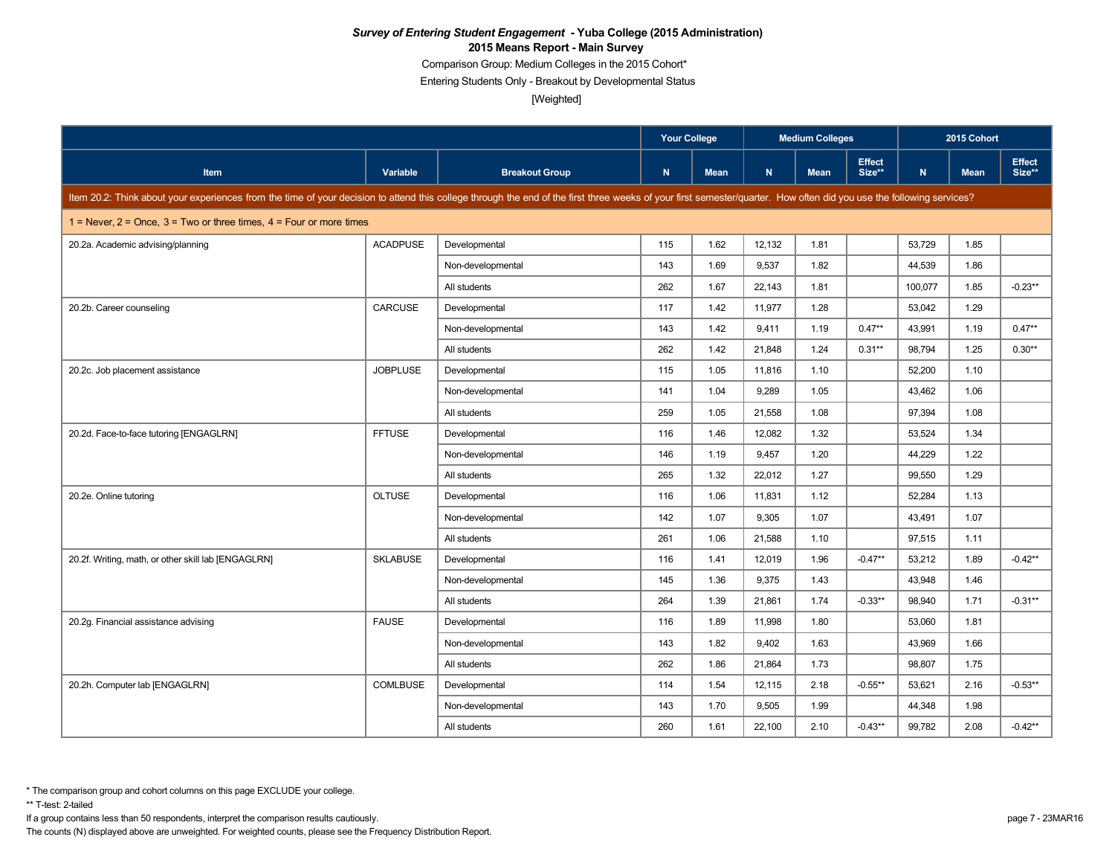Comparison Group: Medium Colleges in the 2015 Cohort\*

Entering Students Only - Breakout by Developmental Status

[Weighted]

|                                                                                                                                                                                                                      |                 | <b>Your College</b>   |     |             | <b>Medium Colleges</b> |             |                         | 2015 Cohort |             |                         |
|----------------------------------------------------------------------------------------------------------------------------------------------------------------------------------------------------------------------|-----------------|-----------------------|-----|-------------|------------------------|-------------|-------------------------|-------------|-------------|-------------------------|
| <b>Item</b>                                                                                                                                                                                                          | Variable        | <b>Breakout Group</b> | N   | <b>Mean</b> | N.                     | <b>Mean</b> | <b>Effect</b><br>Size** | N.          | <b>Mean</b> | <b>Effect</b><br>Size** |
| Item 20.2: Think about your experiences from the time of your decision to attend this college through the end of the first three weeks of your first semester/quarter. How often did you use the following services? |                 |                       |     |             |                        |             |                         |             |             |                         |
| $1 =$ Never, $2 =$ Once, $3 =$ Two or three times, $4 =$ Four or more times                                                                                                                                          |                 |                       |     |             |                        |             |                         |             |             |                         |
| 20.2a. Academic advising/planning                                                                                                                                                                                    | <b>ACADPUSE</b> | Developmental         | 115 | 1.62        | 12,132                 | 1.81        |                         | 53,729      | 1.85        |                         |
|                                                                                                                                                                                                                      |                 | Non-developmental     | 143 | 1.69        | 9,537                  | 1.82        |                         | 44,539      | 1.86        |                         |
|                                                                                                                                                                                                                      |                 | All students          | 262 | 1.67        | 22,143                 | 1.81        |                         | 100,077     | 1.85        | $-0.23**$               |
| 20.2b. Career counseling                                                                                                                                                                                             | CARCUSE         | Developmental         | 117 | 1.42        | 11,977                 | 1.28        |                         | 53,042      | 1.29        |                         |
|                                                                                                                                                                                                                      |                 | Non-developmental     | 143 | 1.42        | 9,411                  | 1.19        | $0.47**$                | 43,991      | 1.19        | $0.47**$                |
|                                                                                                                                                                                                                      |                 | All students          | 262 | 1.42        | 21,848                 | 1.24        | $0.31**$                | 98,794      | 1.25        | $0.30**$                |
| 20.2c. Job placement assistance                                                                                                                                                                                      | <b>JOBPLUSE</b> | Developmental         | 115 | 1.05        | 11,816                 | 1.10        |                         | 52,200      | 1.10        |                         |
|                                                                                                                                                                                                                      |                 | Non-developmental     | 141 | 1.04        | 9,289                  | 1.05        |                         | 43,462      | 1.06        |                         |
|                                                                                                                                                                                                                      |                 | All students          | 259 | 1.05        | 21,558                 | 1.08        |                         | 97,394      | 1.08        |                         |
| 20.2d. Face-to-face tutoring [ENGAGLRN]                                                                                                                                                                              | <b>FFTUSE</b>   | Developmental         | 116 | 1.46        | 12,082                 | 1.32        |                         | 53,524      | 1.34        |                         |
|                                                                                                                                                                                                                      |                 | Non-developmental     | 146 | 1.19        | 9,457                  | 1.20        |                         | 44,229      | 1.22        |                         |
|                                                                                                                                                                                                                      |                 | All students          | 265 | 1.32        | 22,012                 | 1.27        |                         | 99,550      | 1.29        |                         |
| 20.2e. Online tutoring                                                                                                                                                                                               | <b>OLTUSE</b>   | Developmental         | 116 | 1.06        | 11,831                 | 1.12        |                         | 52,284      | 1.13        |                         |
|                                                                                                                                                                                                                      |                 | Non-developmental     | 142 | 1.07        | 9.305                  | 1.07        |                         | 43.491      | 1.07        |                         |
|                                                                                                                                                                                                                      |                 | All students          | 261 | 1.06        | 21,588                 | 1.10        |                         | 97,515      | 1.11        |                         |
| 20.2f. Writing, math, or other skill lab [ENGAGLRN]                                                                                                                                                                  | <b>SKLABUSE</b> | Developmental         | 116 | 1.41        | 12,019                 | 1.96        | $-0.47**$               | 53,212      | 1.89        | $-0.42**$               |
|                                                                                                                                                                                                                      |                 | Non-developmental     | 145 | 1.36        | 9.375                  | 1.43        |                         | 43,948      | 1.46        |                         |
|                                                                                                                                                                                                                      |                 | All students          | 264 | 1.39        | 21,861                 | 1.74        | $-0.33**$               | 98,940      | 1.71        | $-0.31**$               |
| 20.2g. Financial assistance advising                                                                                                                                                                                 | <b>FAUSE</b>    | Developmental         | 116 | 1.89        | 11,998                 | 1.80        |                         | 53,060      | 1.81        |                         |
|                                                                                                                                                                                                                      |                 | Non-developmental     | 143 | 1.82        | 9,402                  | 1.63        |                         | 43,969      | 1.66        |                         |
|                                                                                                                                                                                                                      |                 | All students          | 262 | 1.86        | 21,864                 | 1.73        |                         | 98,807      | 1.75        |                         |
| 20.2h. Computer lab [ENGAGLRN]                                                                                                                                                                                       | <b>COMLBUSE</b> | Developmental         | 114 | 1.54        | 12,115                 | 2.18        | $-0.55***$              | 53,621      | 2.16        | $-0.53**$               |
|                                                                                                                                                                                                                      |                 | Non-developmental     | 143 | 1.70        | 9,505                  | 1.99        |                         | 44,348      | 1.98        |                         |
|                                                                                                                                                                                                                      |                 | All students          | 260 | 1.61        | 22,100                 | 2.10        | $-0.43**$               | 99,782      | 2.08        | $-0.42**$               |

\*\* T-test: 2-tailed

If a group contains less than 50 respondents, interpret the comparison results cautiously. page 7 - 23MAR16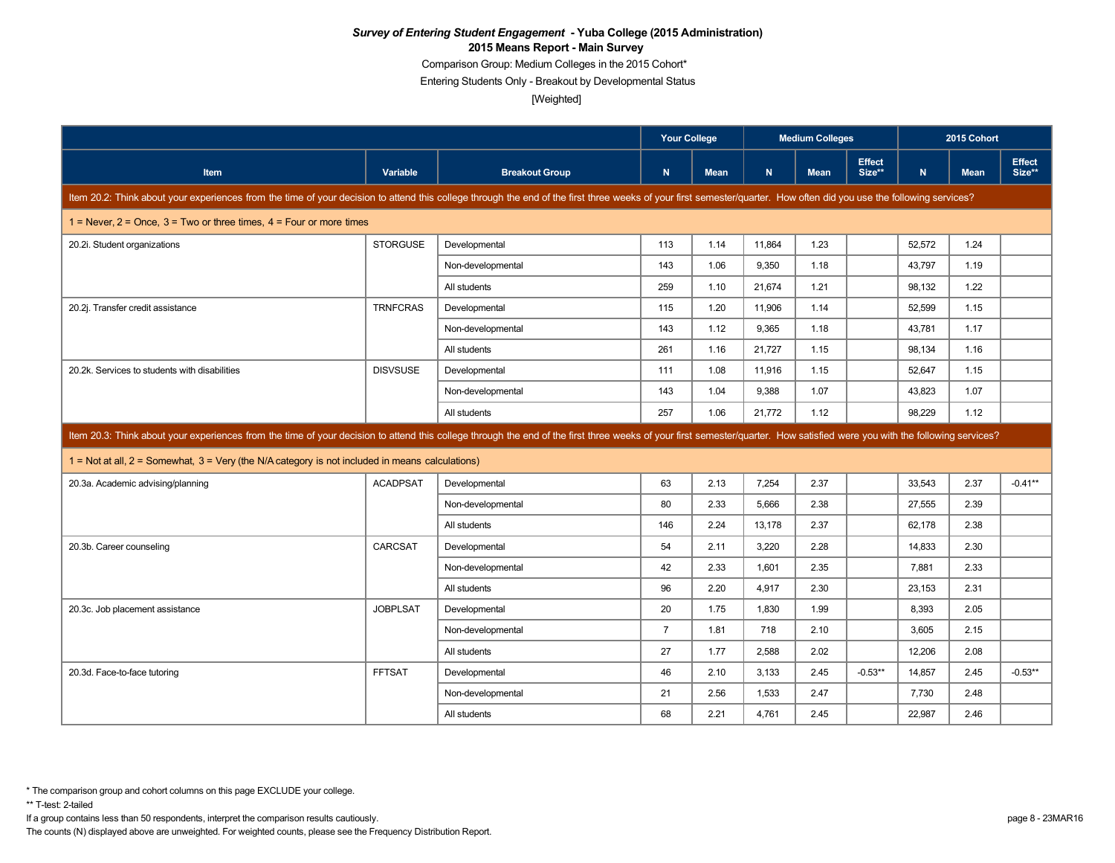Comparison Group: Medium Colleges in the 2015 Cohort\*

Entering Students Only - Breakout by Developmental Status

[Weighted]

|                                                                                                                                                                                                                      |                                                                                                                                                                                                                            |                       | <b>Your College</b> |             |        |             | <b>Medium Colleges</b>  |        |             | 2015 Cohort             |  |
|----------------------------------------------------------------------------------------------------------------------------------------------------------------------------------------------------------------------|----------------------------------------------------------------------------------------------------------------------------------------------------------------------------------------------------------------------------|-----------------------|---------------------|-------------|--------|-------------|-------------------------|--------|-------------|-------------------------|--|
| <b>Item</b>                                                                                                                                                                                                          | Variable                                                                                                                                                                                                                   | <b>Breakout Group</b> | $\mathbf N$         | <b>Mean</b> | N      | <b>Mean</b> | <b>Effect</b><br>Size** | N      | <b>Mean</b> | <b>Effect</b><br>Size** |  |
| Item 20.2: Think about your experiences from the time of your decision to attend this college through the end of the first three weeks of your first semester/quarter. How often did you use the following services? |                                                                                                                                                                                                                            |                       |                     |             |        |             |                         |        |             |                         |  |
| 1 = Never, $2$ = Once, $3$ = Two or three times, $4$ = Four or more times                                                                                                                                            |                                                                                                                                                                                                                            |                       |                     |             |        |             |                         |        |             |                         |  |
| 20.2i. Student organizations                                                                                                                                                                                         | <b>STORGUSE</b>                                                                                                                                                                                                            | Developmental         | 113                 | 1.14        | 11,864 | 1.23        |                         | 52,572 | 1.24        |                         |  |
|                                                                                                                                                                                                                      |                                                                                                                                                                                                                            | Non-developmental     | 143                 | 1.06        | 9,350  | 1.18        |                         | 43,797 | 1.19        |                         |  |
|                                                                                                                                                                                                                      |                                                                                                                                                                                                                            | All students          | 259                 | 1.10        | 21.674 | 1.21        |                         | 98.132 | 1.22        |                         |  |
| 20.2j. Transfer credit assistance                                                                                                                                                                                    | <b>TRNFCRAS</b>                                                                                                                                                                                                            | Developmental         | 115                 | 1.20        | 11,906 | 1.14        |                         | 52,599 | 1.15        |                         |  |
|                                                                                                                                                                                                                      |                                                                                                                                                                                                                            | Non-developmental     | 143                 | 1.12        | 9,365  | 1.18        |                         | 43,781 | 1.17        |                         |  |
|                                                                                                                                                                                                                      |                                                                                                                                                                                                                            | All students          | 261                 | 1.16        | 21,727 | 1.15        |                         | 98.134 | 1.16        |                         |  |
| 20.2k. Services to students with disabilities                                                                                                                                                                        | <b>DISVSUSE</b>                                                                                                                                                                                                            | Developmental         | 111                 | 1.08        | 11,916 | 1.15        |                         | 52,647 | 1.15        |                         |  |
|                                                                                                                                                                                                                      |                                                                                                                                                                                                                            | Non-developmental     | 143                 | 1.04        | 9.388  | 1.07        |                         | 43,823 | 1.07        |                         |  |
|                                                                                                                                                                                                                      |                                                                                                                                                                                                                            | All students          | 257                 | 1.06        | 21,772 | 1.12        |                         | 98,229 | 1.12        |                         |  |
|                                                                                                                                                                                                                      | Item 20.3: Think about your experiences from the time of your decision to attend this college through the end of the first three weeks of your first semester/quarter. How satisfied were you with the following services? |                       |                     |             |        |             |                         |        |             |                         |  |
|                                                                                                                                                                                                                      |                                                                                                                                                                                                                            |                       |                     |             |        |             |                         |        |             |                         |  |
| $1 =$ Not at all, $2 =$ Somewhat, $3 =$ Very (the N/A category is not included in means calculations)                                                                                                                |                                                                                                                                                                                                                            |                       |                     |             |        |             |                         |        |             |                         |  |
| 20.3a. Academic advising/planning                                                                                                                                                                                    | <b>ACADPSAT</b>                                                                                                                                                                                                            | Developmental         | 63                  | 2.13        | 7,254  | 2.37        |                         | 33,543 | 2.37        | $-0.41**$               |  |
|                                                                                                                                                                                                                      |                                                                                                                                                                                                                            | Non-developmental     | 80                  | 2.33        | 5.666  | 2.38        |                         | 27,555 | 2.39        |                         |  |
|                                                                                                                                                                                                                      |                                                                                                                                                                                                                            | All students          | 146                 | 2.24        | 13,178 | 2.37        |                         | 62,178 | 2.38        |                         |  |
| 20.3b. Career counseling                                                                                                                                                                                             | <b>CARCSAT</b>                                                                                                                                                                                                             | Developmental         | 54                  | 2.11        | 3,220  | 2.28        |                         | 14,833 | 2.30        |                         |  |
|                                                                                                                                                                                                                      |                                                                                                                                                                                                                            | Non-developmental     | 42                  | 2.33        | 1.601  | 2.35        |                         | 7.881  | 2.33        |                         |  |
|                                                                                                                                                                                                                      |                                                                                                                                                                                                                            | All students          | 96                  | 2.20        | 4,917  | 2.30        |                         | 23,153 | 2.31        |                         |  |
| 20.3c. Job placement assistance                                                                                                                                                                                      | <b>JOBPLSAT</b>                                                                                                                                                                                                            | Developmental         | 20                  | 1.75        | 1.830  | 1.99        |                         | 8,393  | 2.05        |                         |  |
|                                                                                                                                                                                                                      |                                                                                                                                                                                                                            | Non-developmental     | $\overline{7}$      | 1.81        | 718    | 2.10        |                         | 3,605  | 2.15        |                         |  |
|                                                                                                                                                                                                                      |                                                                                                                                                                                                                            | All students          | 27                  | 1.77        | 2,588  | 2.02        |                         | 12,206 | 2.08        |                         |  |
| 20.3d. Face-to-face tutoring                                                                                                                                                                                         | <b>FFTSAT</b>                                                                                                                                                                                                              | Developmental         | 46                  | 2.10        | 3,133  | 2.45        | $-0.53**$               | 14,857 | 2.45        | $-0.53**$               |  |
|                                                                                                                                                                                                                      |                                                                                                                                                                                                                            | Non-developmental     | 21                  | 2.56        | 1,533  | 2.47        |                         | 7,730  | 2.48        |                         |  |

If a group contains less than 50 respondents, interpret the comparison results cautiously. page 8 - 23MAR16

The counts (N) displayed above are unweighted. For weighted counts, please see the Frequency Distribution Report.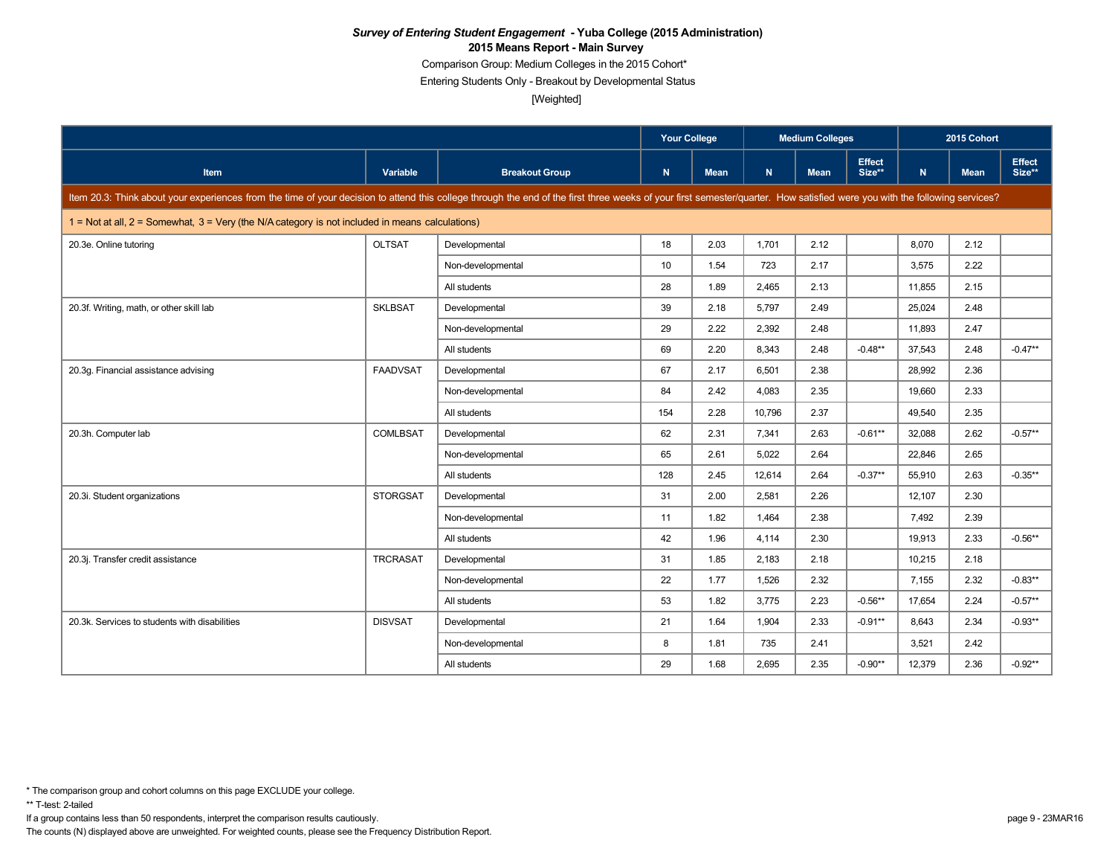Comparison Group: Medium Colleges in the 2015 Cohort\*

Entering Students Only - Breakout by Developmental Status

[Weighted]

|                                                                                                                                                                                                                            |                 |                       | <b>Your College</b> |             |        |             | <b>Medium Colleges</b>  |        | 2015 Cohort |                         |
|----------------------------------------------------------------------------------------------------------------------------------------------------------------------------------------------------------------------------|-----------------|-----------------------|---------------------|-------------|--------|-------------|-------------------------|--------|-------------|-------------------------|
| <b>Item</b>                                                                                                                                                                                                                | <b>Variable</b> | <b>Breakout Group</b> | $\mathsf{N}$        | <b>Mean</b> | N.     | <b>Mean</b> | <b>Effect</b><br>Size** | N.     | <b>Mean</b> | <b>Effect</b><br>Size** |
| Item 20.3: Think about your experiences from the time of your decision to attend this college through the end of the first three weeks of your first semester/quarter. How satisfied were you with the following services? |                 |                       |                     |             |        |             |                         |        |             |                         |
| $1 =$ Not at all, $2 =$ Somewhat, $3 =$ Very (the N/A category is not included in means calculations)                                                                                                                      |                 |                       |                     |             |        |             |                         |        |             |                         |
| 20.3e. Online tutoring                                                                                                                                                                                                     | <b>OLTSAT</b>   | Developmental         | 18                  | 2.03        | 1,701  | 2.12        |                         | 8,070  | 2.12        |                         |
|                                                                                                                                                                                                                            |                 | Non-developmental     | 10                  | 1.54        | 723    | 2.17        |                         | 3,575  | 2.22        |                         |
|                                                                                                                                                                                                                            |                 | All students          | 28                  | 1.89        | 2,465  | 2.13        |                         | 11,855 | 2.15        |                         |
| 20.3f. Writing, math, or other skill lab                                                                                                                                                                                   | <b>SKLBSAT</b>  | Developmental         | 39                  | 2.18        | 5,797  | 2.49        |                         | 25,024 | 2.48        |                         |
|                                                                                                                                                                                                                            |                 | Non-developmental     | 29                  | 2.22        | 2.392  | 2.48        |                         | 11.893 | 2.47        |                         |
|                                                                                                                                                                                                                            |                 | All students          | 69                  | 2.20        | 8,343  | 2.48        | $-0.48**$               | 37,543 | 2.48        | $-0.47**$               |
| 20.3g. Financial assistance advising                                                                                                                                                                                       | <b>FAADVSAT</b> | Developmental         | 67                  | 2.17        | 6.501  | 2.38        |                         | 28,992 | 2.36        |                         |
|                                                                                                                                                                                                                            |                 | Non-developmental     | 84                  | 2.42        | 4,083  | 2.35        |                         | 19,660 | 2.33        |                         |
|                                                                                                                                                                                                                            |                 | All students          | 154                 | 2.28        | 10,796 | 2.37        |                         | 49,540 | 2.35        |                         |
| 20.3h. Computer lab                                                                                                                                                                                                        | <b>COMLBSAT</b> | Developmental         | 62                  | 2.31        | 7,341  | 2.63        | $-0.61**$               | 32,088 | 2.62        | $-0.57**$               |
|                                                                                                                                                                                                                            |                 | Non-developmental     | 65                  | 2.61        | 5,022  | 2.64        |                         | 22,846 | 2.65        |                         |
|                                                                                                                                                                                                                            |                 | All students          | 128                 | 2.45        | 12,614 | 2.64        | $-0.37**$               | 55,910 | 2.63        | $-0.35**$               |
| 20.3i. Student organizations                                                                                                                                                                                               | <b>STORGSAT</b> | Developmental         | 31                  | 2.00        | 2,581  | 2.26        |                         | 12,107 | 2.30        |                         |
|                                                                                                                                                                                                                            |                 | Non-developmental     | 11                  | 1.82        | 1.464  | 2.38        |                         | 7.492  | 2.39        |                         |
|                                                                                                                                                                                                                            |                 | All students          | 42                  | 1.96        | 4,114  | 2.30        |                         | 19,913 | 2.33        | $-0.56**$               |
| 20.3j. Transfer credit assistance                                                                                                                                                                                          | <b>TRCRASAT</b> | Developmental         | 31                  | 1.85        | 2,183  | 2.18        |                         | 10,215 | 2.18        |                         |
|                                                                                                                                                                                                                            |                 | Non-developmental     | 22                  | 1.77        | 1,526  | 2.32        |                         | 7,155  | 2.32        | $-0.83**$               |
|                                                                                                                                                                                                                            |                 | All students          | 53                  | 1.82        | 3,775  | 2.23        | $-0.56**$               | 17,654 | 2.24        | $-0.57**$               |
| 20.3k. Services to students with disabilities                                                                                                                                                                              | <b>DISVSAT</b>  | Developmental         | 21                  | 1.64        | 1,904  | 2.33        | $-0.91**$               | 8,643  | 2.34        | $-0.93**$               |
|                                                                                                                                                                                                                            |                 | Non-developmental     | 8                   | 1.81        | 735    | 2.41        |                         | 3,521  | 2.42        |                         |
|                                                                                                                                                                                                                            |                 | All students          | 29                  | 1.68        | 2,695  | 2.35        | $-0.90**$               | 12,379 | 2.36        | $-0.92**$               |

\*\* T-test: 2-tailed

If a group contains less than 50 respondents, interpret the comparison results cautiously. page 9 - 23MAR16

<sup>\*</sup> The comparison group and cohort columns on this page EXCLUDE your college.